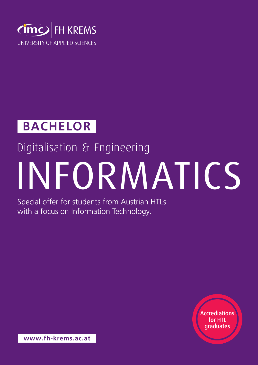

### **Bachelor**

### Digitalisation & Engineering

# Informatics

Special offer for students from Austrian HTLs with a focus on Information Technology.

> Accrediations for HTL graduates

**www.fh-krems.ac.at**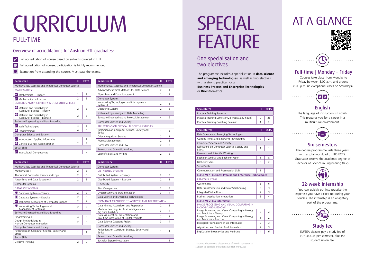Students choose one elective out of two in semester six. Subject to possible alterations (Version 03/2022)

| <b>Semester I</b>                                            | н             | <b>ECTS</b>   |
|--------------------------------------------------------------|---------------|---------------|
| Mathematics, Statistics and Theoretical Computer Science     |               |               |
| <b>MATHEMATICS I</b>                                         |               |               |
| Mathematics I - Theory                                       | $\mathcal{P}$ | 3             |
| Mathematics I - Exercise                                     | 2             | 3             |
| STATISTICS AND PROBABILITY IN COMPUTER SCIENCE               |               |               |
| Statistics and Probability in<br>Computer Science - Theory   | $\mathcal{P}$ | 3             |
| Statistics and Probability in<br>Computer Science - Exercise | $\mathcal{P}$ | 3             |
| Software Engineering and Data Modelling                      |               |               |
| Web Technologies                                             | 4             | 6             |
| $\Box$ Programming I                                         | 4             | 6             |
| Computer Science and Society                                 |               |               |
| Introduction: Applied Informatics                            | 1             | 1             |
| General Business Administration                              | $\mathcal{P}$ | 3             |
| Social Skills                                                |               |               |
| Intercultural Competences                                    | 1             | $\mathcal{P}$ |

| <b>Semester II</b>                                       | н             | <b>ECTS</b>    |
|----------------------------------------------------------|---------------|----------------|
| Mathematics, Statistics and Theoretical Computer Science |               |                |
| Mathematics II                                           | $\mathcal{L}$ | 3              |
| Theoretical Computer Science and Logic                   | $\mathcal{P}$ | 3              |
| Algorithms and Data Structures I                         | 2             | 3              |
| Computer Systems                                         |               |                |
| <b>DATABASE SYSTEMS</b>                                  |               |                |
| Database Systems - Theory                                | $\mathcal{P}$ | $\overline{2}$ |
| Database Systems - Exercise                              | $\mathcal{P}$ | 3              |
| Technical Foundations of Computer Science                | $\mathcal{P}$ | $\mathcal{P}$  |
| Networking Technologies and<br>Management Systems I      | $\mathcal{P}$ | $\mathcal{P}$  |
| Software Engineering and Data Modelling                  |               |                |
| Programming II                                           | 4             | 6              |
| Design Methodology in<br>Human Computer Interaction      | 2             | 3              |
| Computer Science and Society                             |               |                |
| Reflections on Computer Science, Society and<br>Ethics   | 1             | 1              |
| Social Skills                                            |               |                |
| Creative Thinking                                        | $\mathcal{P}$ | $\overline{2}$ |

## CURRICULUM

#### full-time

| <b>Semester III</b>                                           | н             | <b>ECTS</b>   |
|---------------------------------------------------------------|---------------|---------------|
| Mathematics, Statistics and Theoretical Computer Science      |               |               |
| Advanced Statistical Methods for Data Science                 | $\mathcal{P}$ | 4             |
| Algorithms and Data Structures II                             | $\mathcal{P}$ | 3             |
| Computer Systems                                              |               |               |
| Networking Technologies and Management<br>Systems II          | $\mathcal{P}$ | 3             |
| <b>Operating Systems</b>                                      | $\mathcal{P}$ | 3             |
| Software Engineering and Data Modelling                       |               |               |
| Software Engineering and Project Management                   | 4             | 6             |
| Computer Science and Society                                  |               |               |
| REFLECTIONS ON CRITICAL ALGORITHM STUDIES                     |               |               |
| Reflections on Computer Science, Society and<br><b>Fthics</b> | 1             | 1             |
| Critical Algorithm Studies                                    | 2             | $\mathcal{P}$ |
| Process Management                                            | 2             | 3             |
| Computer Science and Law                                      | $\mathcal{P}$ | 3             |
| Research and Scientific Working                               |               |               |
| Scientific Skills and Writing                                 | 2             | $\mathcal{P}$ |

| <b>Semester IV</b>                                                                | н             | <b>ECTS</b>    |
|-----------------------------------------------------------------------------------|---------------|----------------|
| Computer Systems                                                                  |               |                |
| <b>DISTRIBUTED SYSTEMS</b>                                                        |               |                |
| Distributed Systems - Theory                                                      | $\mathcal{P}$ | 3              |
| Distributed Systems - Exercise                                                    | $\mathcal{P}$ | 3              |
| <b>IT Security</b>                                                                |               |                |
| Risk Management                                                                   | $\mathcal{P}$ | 3              |
| Cybersecurity and Data Protection                                                 | 3             | 4              |
| Data Science and Emerging Technologies                                            |               |                |
| FROM DATA CAPTURING TO ANALYSIS AND INTERPRETATION                                |               |                |
| Data Mining, Acquisition and Preparation                                          | $\mathcal{P}$ | 3              |
| Machine Learning, Artificial Intelligence and<br><b>Big Data Analytics</b>        | 3             | 4              |
| Data Visualization, Presentation and<br>Real-time Integration of Digital Products | $\mathcal{P}$ | 3              |
| Data Science Capstone Project                                                     | 3             | 4              |
| Computer Science and Society                                                      |               |                |
| Reflections on Computer Science, Society and<br>Ethics                            | 1             | 1              |
| Research and Scientific Working                                                   |               |                |
| Bachelor Exposé Preparation                                                       | 1             | $\overline{2}$ |

## **SPECIAL FEATURE**

| <b>Semester V</b>                                 | н | <b>ECTS</b> |
|---------------------------------------------------|---|-------------|
| <b>Practical Training Semester</b>                |   |             |
| Practical Training Semester (22 weeks à 30 hours) |   | 28          |
| Practical Training Coaching Seminar               |   |             |

#### One specialisation and two electives

The programme includes a specialisation in **data science and emerging technologies,** as well as two electives with a strong practical focus:

**Business Process and Enterprise Technologies**  or **Bioinformatics.**

#### Overview of accreditations for Austrian HTL graduates:

- Full accreditation of course based on subjects covered in HTL  $\overline{\mathbf{v}}$
- Full acceditation of course, participation is highly recommended.  $\bullet$
- Exemption from attending the course. Must pass the exams.

| <b>Semester VI</b>                                                             | н                        | <b>ECTS</b>             |
|--------------------------------------------------------------------------------|--------------------------|-------------------------|
| Data Science and Emerging Technologies                                         |                          |                         |
| Current Trends and Emerging Technologies                                       | $\mathcal{P}$            | $\mathcal{P}$           |
| Computer Science and Society                                                   |                          |                         |
| Reflections on Computer Science, Society and<br>Ethics                         | 1                        | 1                       |
| Research and Scientific Working                                                |                          |                         |
| Bachelor Seminar and Bachelor Paper                                            | 1                        | 8                       |
| <b>Bachelor Exam</b>                                                           | 0                        | $\mathcal{P}$           |
| Social Skills                                                                  |                          |                         |
| Communication and Presentation Skills                                          | 1                        | 1                       |
| <b>ELECTIVE 1: Business Process and Enterprise Technologies</b>                |                          |                         |
| <b>ERP-CONSULTING</b>                                                          |                          |                         |
| Customizing                                                                    | 3                        | 6                       |
| Data Transformation and Data Warehousing                                       | 3                        | 3                       |
| Integrated Value Flows                                                         | $\mathcal{P}$            | 3                       |
| <b>Business Application Integration</b>                                        | 3                        | 4                       |
| <b>ELECTIVE 2: Bio Informatics</b>                                             |                          |                         |
| <b>IMAGE PROCESSING AND VISUAL COMPUTING IN</b><br><b>BIOLOGY AND MEDICINE</b> |                          |                         |
| Image Processing and Visual Computing in Biology<br>and Medicine - Theory      | $\mathfrak{D}$           | $\overline{2}$          |
| Image Processing and Visual Computing in Biology<br>and Medicine - Exercise    | $\mathbf{1}$             | $\overline{2}$          |
| Biological Foundations of Bio Informatics                                      | $\overline{2}$           | 3                       |
| Algorithms and Tools in Bio Informatics                                        | $\overline{\phantom{a}}$ | $\overline{\mathbf{3}}$ |
| Big Data for Bioanalytics and Medicine                                         | $\overline{4}$           | 6                       |

#### Full-time | Monday – Friday

Courses take place from Monday to Friday between 8.00 a.m. and around 8.00 p.m. (in exceptional cases on Saturdays).



#### English

The language of instruction is English. This prepares you for a career in a multicultural environment.



#### Six semesters

The degree programme lasts three years, with a total workload of 180 ECTS. Graduates receive the academic degree of Bachelor of Science in Engineering (BSc).



#### 22-week internship

. . . . . . . . ..

You can quickly put into practice the expertise you have picked up during your courses. The internship is an obligatory part of the programme.



## at a glance





#### Study fee

EU/EEA citizens pay a study fee of EUR 363.36 per semester, plus the student union fee.